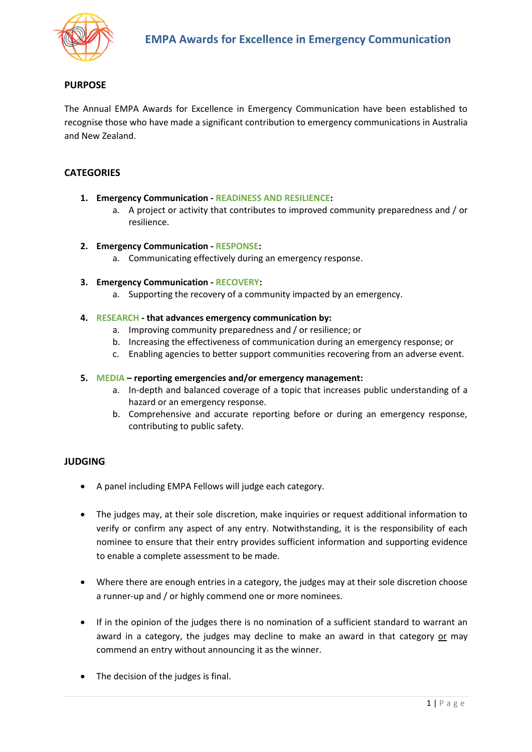

## **PURPOSE**

The Annual EMPA Awards for Excellence in Emergency Communication have been established to recognise those who have made a significant contribution to emergency communications in Australia and New Zealand.

### **CATEGORIES**

- **1. Emergency Communication - READINESS AND RESILIENCE:**
	- a. A project or activity that contributes to improved community preparedness and / or resilience.
- **2. Emergency Communication - RESPONSE:**
	- a. Communicating effectively during an emergency response.
- **3. Emergency Communication - RECOVERY:**
	- a. Supporting the recovery of a community impacted by an emergency.
- **4. RESEARCH - that advances emergency communication by:**
	- a. Improving community preparedness and / or resilience; or
	- b. Increasing the effectiveness of communication during an emergency response; or
	- c. Enabling agencies to better support communities recovering from an adverse event.
- **5. MEDIA – reporting emergencies and/or emergency management:**
	- a. In-depth and balanced coverage of a topic that increases public understanding of a hazard or an emergency response.
	- b. Comprehensive and accurate reporting before or during an emergency response, contributing to public safety.

#### **JUDGING**

- A panel including EMPA Fellows will judge each category.
- The judges may, at their sole discretion, make inquiries or request additional information to verify or confirm any aspect of any entry. Notwithstanding, it is the responsibility of each nominee to ensure that their entry provides sufficient information and supporting evidence to enable a complete assessment to be made.
- Where there are enough entries in a category, the judges may at their sole discretion choose a runner-up and / or highly commend one or more nominees.
- If in the opinion of the judges there is no nomination of a sufficient standard to warrant an award in a category, the judges may decline to make an award in that category or may commend an entry without announcing it as the winner.
- The decision of the judges is final.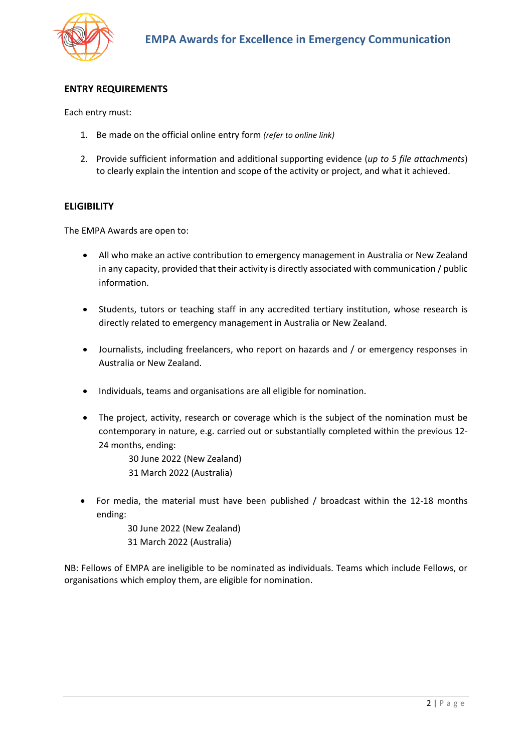# **ENTRY REQUIREMENTS**

Each entry must:

- 1. Be made on the official online entry form *(refer to online link)*
- 2. Provide sufficient information and additional supporting evidence (*up to 5 file attachments*) to clearly explain the intention and scope of the activity or project, and what it achieved.

## **ELIGIBILITY**

The EMPA Awards are open to:

- All who make an active contribution to emergency management in Australia or New Zealand in any capacity, provided that their activity is directly associated with communication / public information.
- Students, tutors or teaching staff in any accredited tertiary institution, whose research is directly related to emergency management in Australia or New Zealand.
- Journalists, including freelancers, who report on hazards and / or emergency responses in Australia or New Zealand.
- Individuals, teams and organisations are all eligible for nomination.
- The project, activity, research or coverage which is the subject of the nomination must be contemporary in nature, e.g. carried out or substantially completed within the previous 12- 24 months, ending:

30 June 2022 (New Zealand) 31 March 2022 (Australia)

• For media, the material must have been published / broadcast within the 12-18 months ending:

> 30 June 2022 (New Zealand) 31 March 2022 (Australia)

NB: Fellows of EMPA are ineligible to be nominated as individuals. Teams which include Fellows, or organisations which employ them, are eligible for nomination.